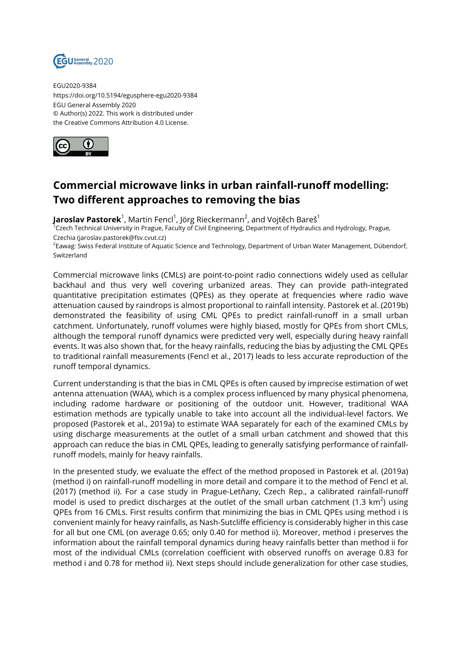

EGU2020-9384 https://doi.org/10.5194/egusphere-egu2020-9384 EGU General Assembly 2020 © Author(s) 2022. This work is distributed under the Creative Commons Attribution 4.0 License.



## **Commercial microwave links in urban rainfall-runoff modelling: Two different approaches to removing the bias**

**Jaroslav Pastorek**<sup>1</sup>, Martin Fencl<sup>1</sup>, Jörg Rieckermann<sup>2</sup>, and Vojtěch Bareš<sup>1</sup>

 $^{\rm 7}$ Czech Technical University in Prague, Faculty of Civil Engineering, Department of Hydraulics and Hydrology, Prague, Czechia (jaroslav.pastorek@fsv.cvut.cz)

<sup>2</sup>Eawag: Swiss Federal Institute of Aquatic Science and Technology, Department of Urban Water Management, Dübendorf, Switzerland

Commercial microwave links (CMLs) are point-to-point radio connections widely used as cellular backhaul and thus very well covering urbanized areas. They can provide path-integrated quantitative precipitation estimates (QPEs) as they operate at frequencies where radio wave attenuation caused by raindrops is almost proportional to rainfall intensity. Pastorek et al. (2019b) demonstrated the feasibility of using CML QPEs to predict rainfall-runoff in a small urban catchment. Unfortunately, runoff volumes were highly biased, mostly for QPEs from short CMLs, although the temporal runoff dynamics were predicted very well, especially during heavy rainfall events. It was also shown that, for the heavy rainfalls, reducing the bias by adjusting the CML QPEs to traditional rainfall measurements (Fencl et al., 2017) leads to less accurate reproduction of the runoff temporal dynamics.

Current understanding is that the bias in CML QPEs is often caused by imprecise estimation of wet antenna attenuation (WAA), which is a complex process influenced by many physical phenomena, including radome hardware or positioning of the outdoor unit. However, traditional WAA estimation methods are typically unable to take into account all the individual-level factors. We proposed (Pastorek et al., 2019a) to estimate WAA separately for each of the examined CMLs by using discharge measurements at the outlet of a small urban catchment and showed that this approach can reduce the bias in CML QPEs, leading to generally satisfying performance of rainfallrunoff models, mainly for heavy rainfalls.

In the presented study, we evaluate the effect of the method proposed in Pastorek et al. (2019a) (method i) on rainfall-runoff modelling in more detail and compare it to the method of Fencl et al. (2017) (method ii). For a case study in Prague-Letňany, Czech Rep., a calibrated rainfall-runoff model is used to predict discharges at the outlet of the small urban catchment (1.3 km<sup>2</sup>) using QPEs from 16 CMLs. First results confirm that minimizing the bias in CML QPEs using method i is convenient mainly for heavy rainfalls, as Nash-Sutcliffe efficiency is considerably higher in this case for all but one CML (on average 0.65; only 0.40 for method ii). Moreover, method i preserves the information about the rainfall temporal dynamics during heavy rainfalls better than method ii for most of the individual CMLs (correlation coefficient with observed runoffs on average 0.83 for method i and 0.78 for method ii). Next steps should include generalization for other case studies,